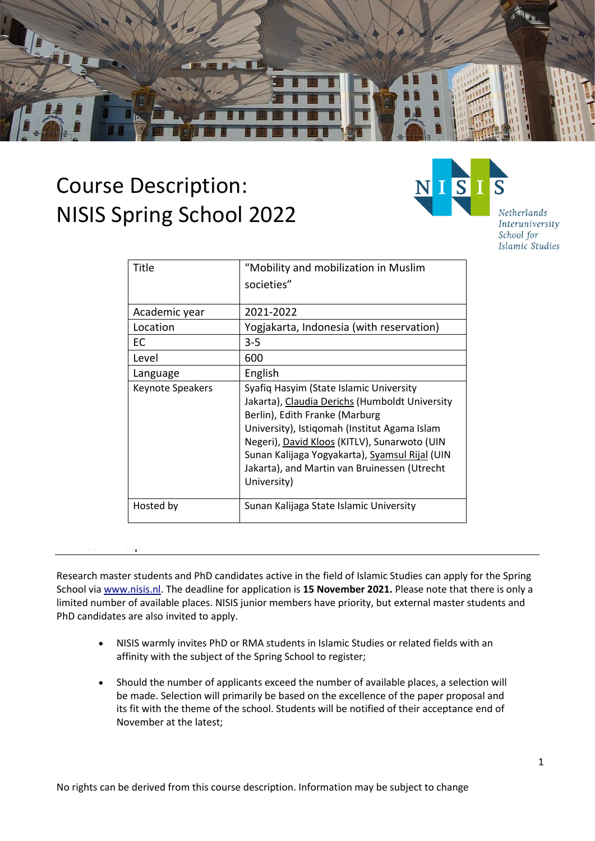

# Course Description: NISIS Spring School 2022



Netherlands Interuniversity School for Islamic Studies

| Title                   | "Mobility and mobilization in Muslim                                                                                                                                                                          |
|-------------------------|---------------------------------------------------------------------------------------------------------------------------------------------------------------------------------------------------------------|
|                         | societies"                                                                                                                                                                                                    |
|                         |                                                                                                                                                                                                               |
| Academic year           | 2021-2022                                                                                                                                                                                                     |
| Location                | Yogjakarta, Indonesia (with reservation)                                                                                                                                                                      |
| EC                      | $3 - 5$                                                                                                                                                                                                       |
| Level                   | 600                                                                                                                                                                                                           |
| Language                | English                                                                                                                                                                                                       |
| <b>Keynote Speakers</b> | Syafiq Hasyim (State Islamic University<br>Jakarta), Claudia Derichs (Humboldt University<br>Berlin), Edith Franke (Marburg                                                                                   |
|                         | University), Istiqomah (Institut Agama Islam<br>Negeri), David Kloos (KITLV), Sunarwoto (UIN<br>Sunan Kalijaga Yogyakarta), Syamsul Rijal (UIN<br>Jakarta), and Martin van Bruinessen (Utrecht<br>University) |
| Hosted by               | Sunan Kalijaga State Islamic University                                                                                                                                                                       |

# Admission requirements

Research master students and PhD candidates active in the field of Islamic Studies can apply for the Spring School via [www.nisis.nl.](http://www.nisis.nl/) The deadline for application is **15 November 2021.** Please note that there is only a limited number of available places. NISIS junior members have priority, but external master students and PhD candidates are also invited to apply.

- NISIS warmly invites PhD or RMA students in Islamic Studies or related fields with an affinity with the subject of the Spring School to register;
- Should the number of applicants exceed the number of available places, a selection will be made. Selection will primarily be based on the excellence of the paper proposal and its fit with the theme of the school. Students will be notified of their acceptance end of November at the latest;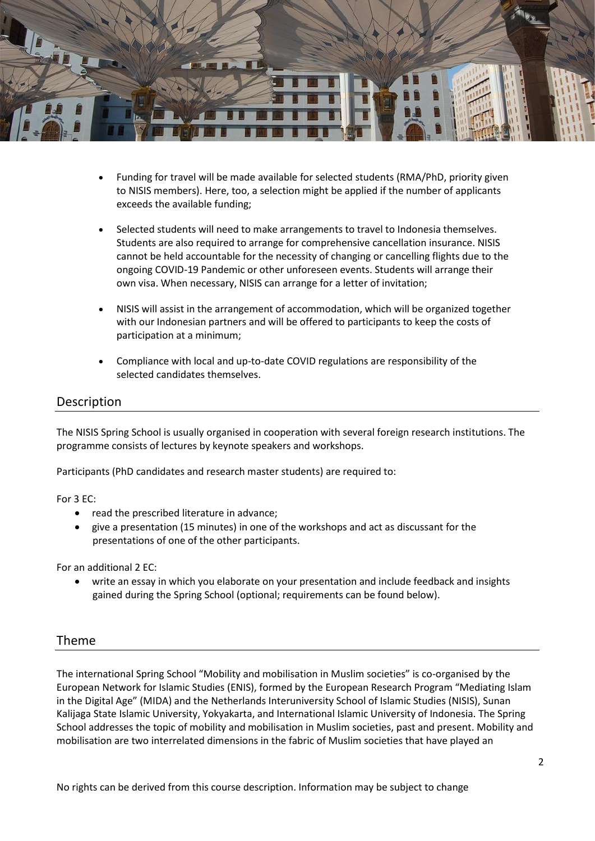

- Funding for travel will be made available for selected students (RMA/PhD, priority given to NISIS members). Here, too, a selection might be applied if the number of applicants exceeds the available funding;
- Selected students will need to make arrangements to travel to Indonesia themselves. Students are also required to arrange for comprehensive cancellation insurance. NISIS cannot be held accountable for the necessity of changing or cancelling flights due to the ongoing COVID-19 Pandemic or other unforeseen events. Students will arrange their own visa. When necessary, NISIS can arrange for a letter of invitation;
- NISIS will assist in the arrangement of accommodation, which will be organized together with our Indonesian partners and will be offered to participants to keep the costs of participation at a minimum;
- Compliance with local and up-to-date COVID regulations are responsibility of the selected candidates themselves.

# Description

The NISIS Spring School is usually organised in cooperation with several foreign research institutions. The programme consists of lectures by keynote speakers and workshops.

Participants (PhD candidates and research master students) are required to:

For 3 EC:

- read the prescribed literature in advance;
- give a presentation (15 minutes) in one of the workshops and act as discussant for the presentations of one of the other participants.

For an additional 2 EC:

• write an essay in which you elaborate on your presentation and include feedback and insights gained during the Spring School (optional; requirements can be found below).

#### Theme

The international Spring School "Mobility and mobilisation in Muslim societies" is co-organised by the European Network for Islamic Studies (ENIS), formed by the European Research Program "Mediating Islam in the Digital Age" (MIDA) and the Netherlands Interuniversity School of Islamic Studies (NISIS), Sunan Kalijaga State Islamic University, Yokyakarta, and International Islamic University of Indonesia. The Spring School addresses the topic of mobility and mobilisation in Muslim societies, past and present. Mobility and mobilisation are two interrelated dimensions in the fabric of Muslim societies that have played an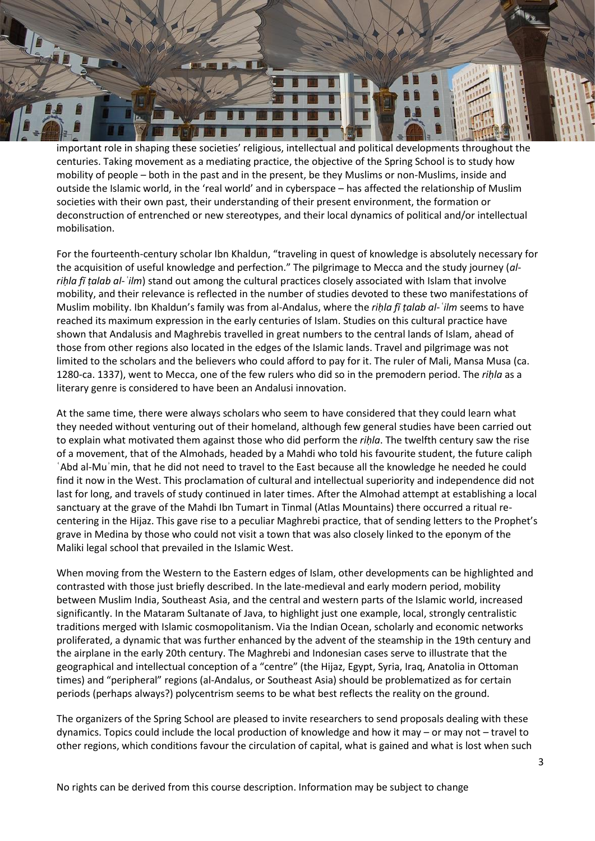

important role in shaping these societies' religious, intellectual and political developments throughout the centuries. Taking movement as a mediating practice, the objective of the Spring School is to study how mobility of people – both in the past and in the present, be they Muslims or non-Muslims, inside and outside the Islamic world, in the 'real world' and in cyberspace – has affected the relationship of Muslim societies with their own past, their understanding of their present environment, the formation or deconstruction of entrenched or new stereotypes, and their local dynamics of political and/or intellectual mobilisation.

For the fourteenth-century scholar Ibn Khaldun, "traveling in quest of knowledge is absolutely necessary for the acquisition of useful knowledge and perfection." The pilgrimage to Mecca and the study journey (*alriḥla fī ṭalab al-ʿilm*) stand out among the cultural practices closely associated with Islam that involve mobility, and their relevance is reflected in the number of studies devoted to these two manifestations of Muslim mobility. Ibn Khaldun's family was from al-Andalus, where the *riḥla fī ṭalab al-ʿilm* seems to have reached its maximum expression in the early centuries of Islam. Studies on this cultural practice have shown that Andalusis and Maghrebis travelled in great numbers to the central lands of Islam, ahead of those from other regions also located in the edges of the Islamic lands. Travel and pilgrimage was not limited to the scholars and the believers who could afford to pay for it. The ruler of Mali, Mansa Musa (ca. 1280-ca. 1337), went to Mecca, one of the few rulers who did so in the premodern period. The *riḥla* as a literary genre is considered to have been an Andalusi innovation.

At the same time, there were always scholars who seem to have considered that they could learn what they needed without venturing out of their homeland, although few general studies have been carried out to explain what motivated them against those who did perform the *riḥla*. The twelfth century saw the rise of a movement, that of the Almohads, headed by a Mahdi who told his favourite student, the future caliph ʿAbd al-Muʾmin, that he did not need to travel to the East because all the knowledge he needed he could find it now in the West. This proclamation of cultural and intellectual superiority and independence did not last for long, and travels of study continued in later times. After the Almohad attempt at establishing a local sanctuary at the grave of the Mahdi Ibn Tumart in Tinmal (Atlas Mountains) there occurred a ritual recentering in the Hijaz. This gave rise to a peculiar Maghrebi practice, that of sending letters to the Prophet's grave in Medina by those who could not visit a town that was also closely linked to the eponym of the Maliki legal school that prevailed in the Islamic West.

When moving from the Western to the Eastern edges of Islam, other developments can be highlighted and contrasted with those just briefly described. In the late-medieval and early modern period, mobility between Muslim India, Southeast Asia, and the central and western parts of the Islamic world, increased significantly. In the Mataram Sultanate of Java, to highlight just one example, local, strongly centralistic traditions merged with Islamic cosmopolitanism. Via the Indian Ocean, scholarly and economic networks proliferated, a dynamic that was further enhanced by the advent of the steamship in the 19th century and the airplane in the early 20th century. The Maghrebi and Indonesian cases serve to illustrate that the geographical and intellectual conception of a "centre" (the Hijaz, Egypt, Syria, Iraq, Anatolia in Ottoman times) and "peripheral" regions (al-Andalus, or Southeast Asia) should be problematized as for certain periods (perhaps always?) polycentrism seems to be what best reflects the reality on the ground.

The organizers of the Spring School are pleased to invite researchers to send proposals dealing with these dynamics. Topics could include the local production of knowledge and how it may – or may not – travel to other regions, which conditions favour the circulation of capital, what is gained and what is lost when such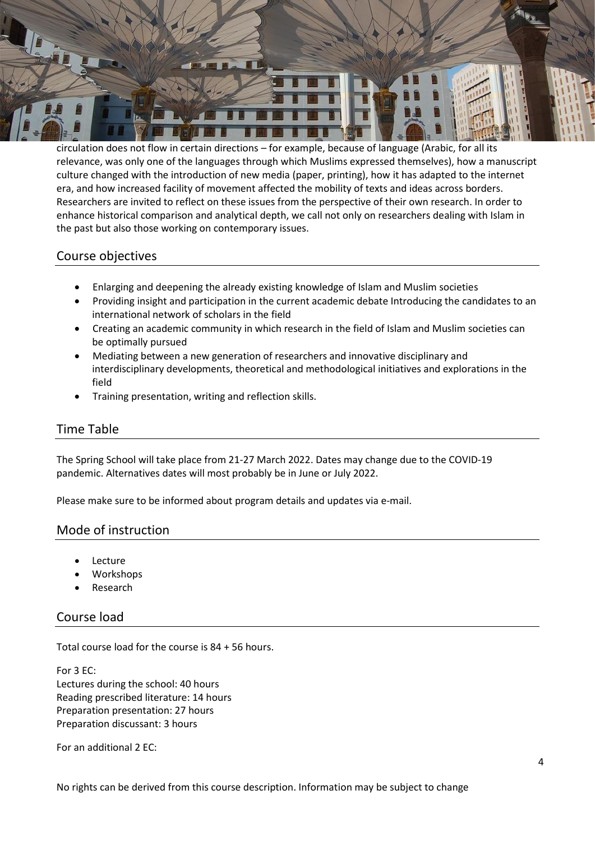

circulation does not flow in certain directions – for example, because of language (Arabic, for all its relevance, was only one of the languages through which Muslims expressed themselves), how a manuscript culture changed with the introduction of new media (paper, printing), how it has adapted to the internet era, and how increased facility of movement affected the mobility of texts and ideas across borders. Researchers are invited to reflect on these issues from the perspective of their own research. In order to enhance historical comparison and analytical depth, we call not only on researchers dealing with Islam in the past but also those working on contemporary issues.

# Course objectives

- Enlarging and deepening the already existing knowledge of Islam and Muslim societies
- Providing insight and participation in the current academic debate Introducing the candidates to an international network of scholars in the field
- Creating an academic community in which research in the field of Islam and Muslim societies can be optimally pursued
- Mediating between a new generation of researchers and innovative disciplinary and interdisciplinary developments, theoretical and methodological initiatives and explorations in the field
- Training presentation, writing and reflection skills.

# Time Table

The Spring School will take place from 21-27 March 2022. Dates may change due to the COVID-19 pandemic. Alternatives dates will most probably be in June or July 2022.

Please make sure to be informed about program details and updates via e-mail.

#### Mode of instruction

- **Lecture**
- Workshops
- **Research**

# Course load

Total course load for the course is 84 + 56 hours.

For 3 EC: Lectures during the school: 40 hours Reading prescribed literature: 14 hours Preparation presentation: 27 hours Preparation discussant: 3 hours

For an additional 2 EC: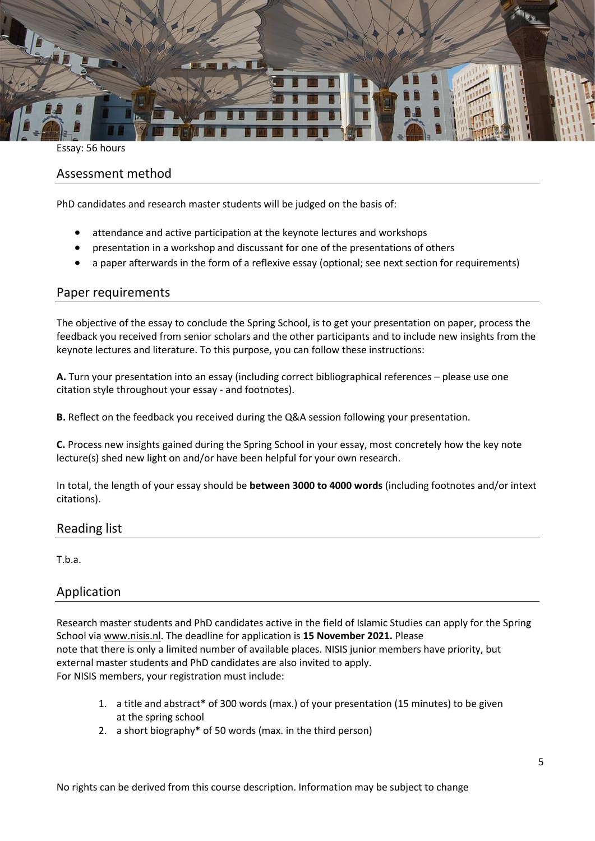

Essay: 56 hours

# Assessment method

PhD candidates and research master students will be judged on the basis of:

- attendance and active participation at the keynote lectures and workshops
- presentation in a workshop and discussant for one of the presentations of others
- a paper afterwards in the form of a reflexive essay (optional; see next section for requirements)

### Paper requirements

The objective of the essay to conclude the Spring School, is to get your presentation on paper, process the feedback you received from senior scholars and the other participants and to include new insights from the keynote lectures and literature. To this purpose, you can follow these instructions:

**A.** Turn your presentation into an essay (including correct bibliographical references – please use one citation style throughout your essay - and footnotes).

**B.** Reflect on the feedback you received during the Q&A session following your presentation.

**C.** Process new insights gained during the Spring School in your essay, most concretely how the key note lecture(s) shed new light on and/or have been helpful for your own research.

In total, the length of your essay should be **between 3000 to 4000 words** (including footnotes and/or intext citations).

#### Reading list

T.b.a.

#### Application

Research master students and PhD candidates active in the field of Islamic Studies can apply for the Spring School via [www.nisis.nl.](http://www.nisis.nl/) The deadline for application is **15 November 2021.** Please note that there is only a limited number of available places. NISIS junior members have priority, but external master students and PhD candidates are also invited to apply. For NISIS members, your registration must include:

- 1. a title and abstract\* of 300 words (max.) of your presentation (15 minutes) to be given at the spring school
- 2. a short biography\* of 50 words (max. in the third person)